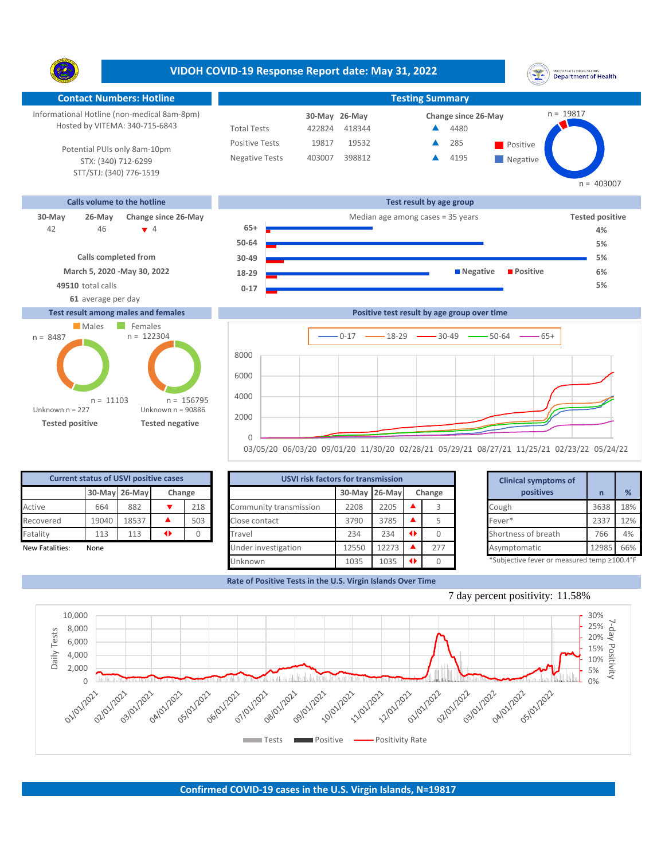**VIDOH COVID-19 Response Report date: May 31, 2022** UNITED STATES VIRGIN ISLANDS<br>Department of Health Y. **Contact Numbers: Hotline Testing Summary Testing Summary** n = 19817 Informational Hotline (non-medical 8am-8pm) **26-May 30-May Change since 26-May** Hosted by VITEMA: 340-715-6843 Total Tests 422824 418344 ▲ 4480 Positive Tests 19817 19532  $\triangle$  285 Positive  $\blacktriangle$ 285 Potential PUIs only 8am-10pm Negative Tests 403007 398812 **4** 4195  $\blacktriangle$ STX: (340) 712-6299 **Negative** STT/STJ: (340) 776-1519  $n = 403007$ **Calls volume to the hotline Test result by age group 30-May 26-May Change since 26-May** Median age among cases = 35 years **Tested positive** 46 4 **65+** 42 **4% 50-64 5% Calls completed from 30-49 5% March 5, 2020 -May 30, 2022 18-29 Negative Positive 6% 49510** total calls **5% 0-17 61** average per day **Test result among males and females Positive test result by age group over time** Males Females n = 122304n = 8487  $0-17$   $\longrightarrow$  18-29  $\longrightarrow$  30-49  $\longrightarrow$  50-64  $\longrightarrow$  65+ 8000 6000 4000 n = 156795 n = 11103 Unknown n = 227 Unknown n = 90886 2000

**Current status of USVI positive cases** 0 503 **30-May 26-May Change** Fatality 113 113  $\rightarrow$ 

**Tested positive Tested negative**

| <b>Current status of USVI positive cases</b> |       |               |   |        |                        | <b>USVI risk factors for transmission</b> |       |               |           |  | <b>Clinical symptoms of</b>                 |       |     |
|----------------------------------------------|-------|---------------|---|--------|------------------------|-------------------------------------------|-------|---------------|-----------|--|---------------------------------------------|-------|-----|
|                                              |       | 30-May 26-May |   | Change |                        | 30-May 26-May<br>Change                   |       |               | positives |  | %                                           |       |     |
| Active                                       | 664   | 882           |   | 218    | Community transmission | 2208                                      | 2205  |               |           |  | Cough                                       | 3638  | 18% |
| Recovered                                    | 19040 | 18537         |   | 503    | Close contact          | 3790                                      | 3785  |               |           |  | Fever*                                      | 2337  | 12% |
| Fatality                                     | 113   | 113           | ◆ |        | Travel                 | 234                                       | 234   | $\rightarrow$ |           |  | Shortness of breath                         | 766   | 4%  |
| New Fatalities:                              | None  |               |   |        | Under investigation    | 12550                                     | 12273 |               | 277       |  | Asymptomatic                                | 12985 | 66% |
|                                              |       |               |   |        | Unknown                | 1035                                      | 1035  |               |           |  | *Subjective fever or measured temp ≥100.4°F |       |     |

03/05/20 06/03/20 09/01/20 11/30/20 02/28/21 05/29/21 08/27/21 11/25/21 02/23/22 05/24/22

 $\Omega$ 

**Rate of Positive Tests in the U.S. Virgin Islands Over Time**

|       | for transmission |   |        | <b>Clinical symptoms of</b>                 |       |     |
|-------|------------------|---|--------|---------------------------------------------|-------|-----|
|       | 30-May 26-May    |   | Change | positives                                   | n     | %   |
| 2208  | 2205             |   | 3      | Cough                                       | 3638  | 18% |
| 3790  | 3785             |   |        | Fever*                                      | 2337  | 12% |
| 234   | 234              | ◆ | 0      | Shortness of breath                         | 766   | 4%  |
| 12550 | 12273            |   | 277    | Asymptomatic                                | 12985 | 66% |
| 1035  | 1035             | ◆ |        | *Subjective fever or measured temp ≥100.4°F |       |     |